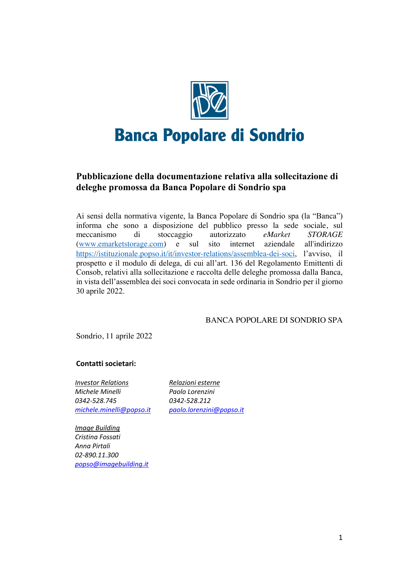

## **Pubblicazione della documentazione relativa alla sollecitazione di deleghe promossa da Banca Popolare di Sondrio spa**

Ai sensi della normativa vigente, la Banca Popolare di Sondrio spa (la "Banca") informa che sono a disposizione del pubblico presso la sede sociale, sul meccanismo di stoccaggio autorizzato *eMarket STORAGE* (www.emarketstorage.com) e sul sito internet aziendale all'indirizzo https://istituzionale.popso.it/it/investor-relations/assemblea-dei-soci, l'avviso, il prospetto e il modulo di delega, di cui all'art. 136 del Regolamento Emittenti di Consob, relativi alla sollecitazione e raccolta delle deleghe promossa dalla Banca, in vista dell'assemblea dei soci convocata in sede ordinaria in Sondrio per il giorno 30 aprile 2022.

### BANCA POPOLARE DI SONDRIO SPA

Sondrio, 11 aprile 2022

### **Contatti societari:**

*Investor Relations Michele Minelli 0342-528.745 michele.minelli@popso.it*

*Relazioni esterne Paolo Lorenzini 0342-528.212 paolo.lorenzini@popso.it*

*Image Building Cristina Fossati Anna Pirtali 02-890.11.300 popso@imagebuilding.it*